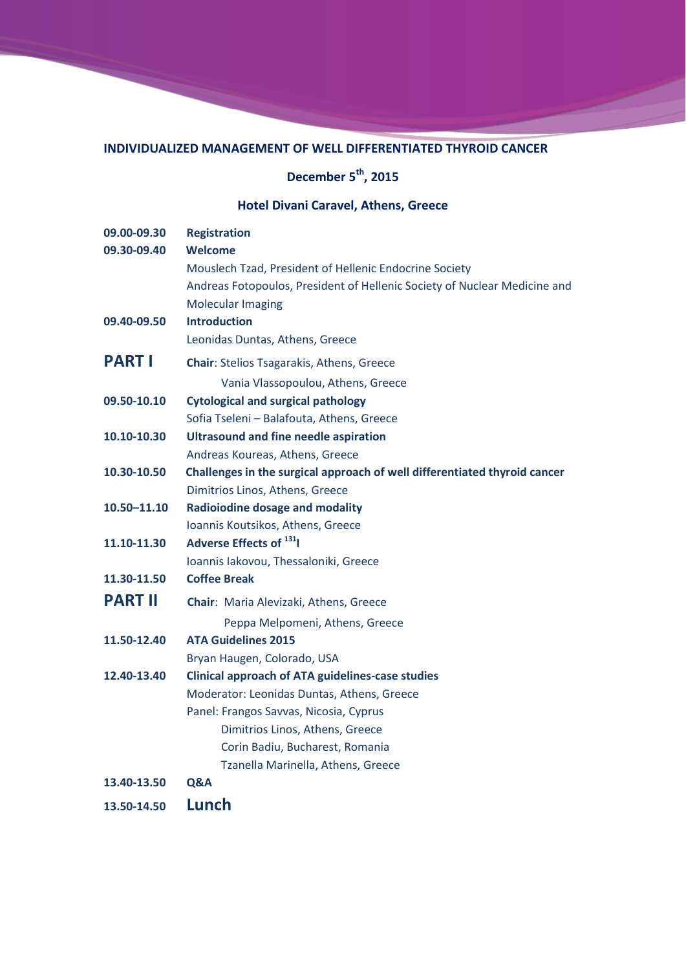## **INDIVIDUALIZED MANAGEMENT OF WELL DIFFERENTIATED THYROID CANCER**

## **December 5th, 2015**

## **Hotel Divani Caravel, Athens, Greece**

| 09.00-09.30    | <b>Registration</b>                                                       |
|----------------|---------------------------------------------------------------------------|
| 09.30-09.40    | <b>Welcome</b>                                                            |
|                | Mouslech Tzad, President of Hellenic Endocrine Society                    |
|                | Andreas Fotopoulos, President of Hellenic Society of Nuclear Medicine and |
|                | <b>Molecular Imaging</b>                                                  |
| 09.40-09.50    | <b>Introduction</b>                                                       |
|                | Leonidas Duntas, Athens, Greece                                           |
| <b>PART I</b>  | Chair: Stelios Tsagarakis, Athens, Greece                                 |
|                | Vania Vlassopoulou, Athens, Greece                                        |
| 09.50-10.10    | <b>Cytological and surgical pathology</b>                                 |
|                | Sofia Tseleni - Balafouta, Athens, Greece                                 |
| 10.10-10.30    | <b>Ultrasound and fine needle aspiration</b>                              |
|                | Andreas Koureas, Athens, Greece                                           |
| 10.30-10.50    | Challenges in the surgical approach of well differentiated thyroid cancer |
|                | Dimitrios Linos, Athens, Greece                                           |
| 10.50-11.10    | <b>Radioiodine dosage and modality</b>                                    |
|                | Ioannis Koutsikos, Athens, Greece                                         |
| 11.10-11.30    | Adverse Effects of 131                                                    |
|                | Ioannis Iakovou, Thessaloniki, Greece                                     |
| 11.30-11.50    | <b>Coffee Break</b>                                                       |
| <b>PART II</b> | Chair: Maria Alevizaki, Athens, Greece                                    |
|                | Peppa Melpomeni, Athens, Greece                                           |
| 11.50-12.40    | <b>ATA Guidelines 2015</b>                                                |
|                | Bryan Haugen, Colorado, USA                                               |
| 12.40-13.40    | <b>Clinical approach of ATA guidelines-case studies</b>                   |
|                | Moderator: Leonidas Duntas, Athens, Greece                                |
|                | Panel: Frangos Savvas, Nicosia, Cyprus                                    |
|                | Dimitrios Linos, Athens, Greece                                           |
|                | Corin Badiu, Bucharest, Romania                                           |
|                | Tzanella Marinella, Athens, Greece                                        |
| 13.40-13.50    | Q&A                                                                       |
| 13.50-14.50    | Lunch                                                                     |